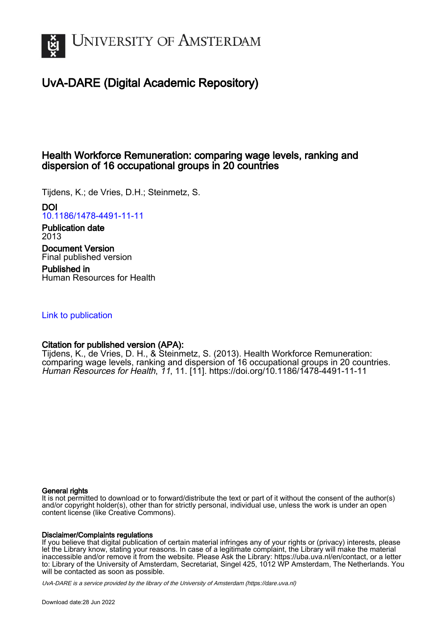

# UvA-DARE (Digital Academic Repository)

# Health Workforce Remuneration: comparing wage levels, ranking and dispersion of 16 occupational groups in 20 countries

Tijdens, K.; de Vries, D.H.; Steinmetz, S.

DOI

[10.1186/1478-4491-11-11](https://doi.org/10.1186/1478-4491-11-11)

Publication date 2013

Document Version Final published version

Published in Human Resources for Health

## [Link to publication](https://dare.uva.nl/personal/pure/en/publications/health-workforce-remuneration-comparing-wage-levels-ranking-and-dispersion-of-16-occupational-groups-in-20-countries(2d254da4-6db4-46f6-aaaa-a290a993e2f8).html)

# Citation for published version (APA):

Tijdens, K., de Vries, D. H., & Steinmetz, S. (2013). Health Workforce Remuneration: comparing wage levels, ranking and dispersion of 16 occupational groups in 20 countries. Human Resources for Health, 11, 11. [11]. <https://doi.org/10.1186/1478-4491-11-11>

#### General rights

It is not permitted to download or to forward/distribute the text or part of it without the consent of the author(s) and/or copyright holder(s), other than for strictly personal, individual use, unless the work is under an open content license (like Creative Commons).

#### Disclaimer/Complaints regulations

If you believe that digital publication of certain material infringes any of your rights or (privacy) interests, please let the Library know, stating your reasons. In case of a legitimate complaint, the Library will make the material inaccessible and/or remove it from the website. Please Ask the Library: https://uba.uva.nl/en/contact, or a letter to: Library of the University of Amsterdam, Secretariat, Singel 425, 1012 WP Amsterdam, The Netherlands. You will be contacted as soon as possible.

UvA-DARE is a service provided by the library of the University of Amsterdam (http*s*://dare.uva.nl)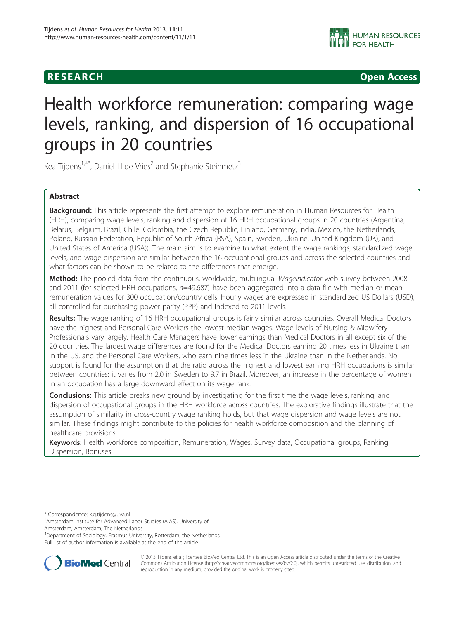**RESEARCH CHINESEARCH CHINESEARCH** 

# Health workforce remuneration: comparing wage levels, ranking, and dispersion of 16 occupational groups in 20 countries

Kea Tijdens<sup>1,4\*</sup>, Daniel H de Vries<sup>2</sup> and Stephanie Steinmetz<sup>3</sup>

#### Abstract

Background: This article represents the first attempt to explore remuneration in Human Resources for Health (HRH), comparing wage levels, ranking and dispersion of 16 HRH occupational groups in 20 countries (Argentina, Belarus, Belgium, Brazil, Chile, Colombia, the Czech Republic, Finland, Germany, India, Mexico, the Netherlands, Poland, Russian Federation, Republic of South Africa (RSA), Spain, Sweden, Ukraine, United Kingdom (UK), and United States of America (USA)). The main aim is to examine to what extent the wage rankings, standardized wage levels, and wage dispersion are similar between the 16 occupational groups and across the selected countries and what factors can be shown to be related to the differences that emerge.

Method: The pooled data from the continuous, worldwide, multilingual WageIndicator web survey between 2008 and 2011 (for selected HRH occupations,  $n=49,687$ ) have been aggregated into a data file with median or mean remuneration values for 300 occupation/country cells. Hourly wages are expressed in standardized US Dollars (USD), all controlled for purchasing power parity (PPP) and indexed to 2011 levels.

Results: The wage ranking of 16 HRH occupational groups is fairly similar across countries. Overall Medical Doctors have the highest and Personal Care Workers the lowest median wages. Wage levels of Nursing & Midwifery Professionals vary largely. Health Care Managers have lower earnings than Medical Doctors in all except six of the 20 countries. The largest wage differences are found for the Medical Doctors earning 20 times less in Ukraine than in the US, and the Personal Care Workers, who earn nine times less in the Ukraine than in the Netherlands. No support is found for the assumption that the ratio across the highest and lowest earning HRH occupations is similar between countries: it varies from 2.0 in Sweden to 9.7 in Brazil. Moreover, an increase in the percentage of women in an occupation has a large downward effect on its wage rank.

**Conclusions:** This article breaks new ground by investigating for the first time the wage levels, ranking, and dispersion of occupational groups in the HRH workforce across countries. The explorative findings illustrate that the assumption of similarity in cross-country wage ranking holds, but that wage dispersion and wage levels are not similar. These findings might contribute to the policies for health workforce composition and the planning of healthcare provisions.

Keywords: Health workforce composition, Remuneration, Wages, Survey data, Occupational groups, Ranking, Dispersion, Bonuses

\* Correspondence: [k.g.tijdens@uva.nl](mailto:k.g.tijdens@uva.nl) <sup>1</sup>

<sup>4</sup>Department of Sociology, Erasmus University, Rotterdam, the Netherlands Full list of author information is available at the end of the article



© 2013 Tijdens et al.; licensee BioMed Central Ltd. This is an Open Access article distributed under the terms of the Creative Commons Attribution License [\(http://creativecommons.org/licenses/by/2.0\)](http://creativecommons.org/licenses/by/2.0), which permits unrestricted use, distribution, and reproduction in any medium, provided the original work is properly cited.

<sup>&</sup>lt;sup>1</sup> Amsterdam Institute for Advanced Labor Studies (AIAS), University of Amsterdam, Amsterdam, The Netherlands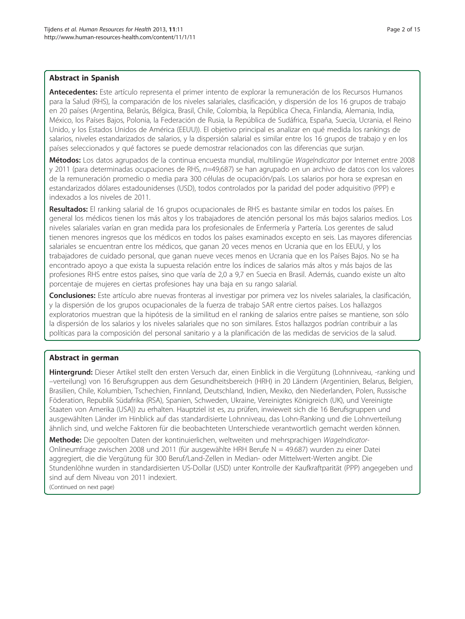#### Abstract in Spanish

Antecedentes: Este artículo representa el primer intento de explorar la remuneración de los Recursos Humanos para la Salud (RHS), la comparación de los niveles salariales, clasificación, y dispersión de los 16 grupos de trabajo en 20 países (Argentina, Belarús, Bélgica, Brasil, Chile, Colombia, la República Checa, Finlandia, Alemania, India, México, los Países Bajos, Polonia, la Federación de Rusia, la República de Sudáfrica, España, Suecia, Ucrania, el Reino Unido, y los Estados Unidos de América (EEUU)). El objetivo principal es analizar en qué medida los rankings de salarios, niveles estandarizados de salarios, y la dispersión salarial es similar entre los 16 grupos de trabajo y en los países seleccionados y qué factores se puede demostrar relacionados con las diferencias que surjan.

Métodos: Los datos agrupados de la continua encuesta mundial, multilingüe WageIndicator por Internet entre 2008 y 2011 (para determinadas ocupaciones de RHS, n=49,687) se han agrupado en un archivo de datos con los valores de la remuneración promedio o media para 300 células de ocupación/país. Los salarios por hora se expresan en estandarizados dólares estadounidenses (USD), todos controlados por la paridad del poder adquisitivo (PPP) e indexados a los niveles de 2011.

Resultados: El ranking salarial de 16 grupos ocupacionales de RHS es bastante similar en todos los países. En general los médicos tienen los más altos y los trabajadores de atención personal los más bajos salarios medios. Los niveles salariales varían en gran medida para los profesionales de Enfermería y Partería. Los gerentes de salud tienen menores ingresos que los médicos en todos los países examinados excepto en seis. Las mayores diferencias salariales se encuentran entre los médicos, que ganan 20 veces menos en Ucrania que en los EEUU, y los trabajadores de cuidado personal, que ganan nueve veces menos en Ucrania que en los Países Bajos. No se ha encontrado apoyo a que exista la supuesta relación entre los índices de salarios más altos y más bajos de las profesiones RHS entre estos países, sino que varía de 2,0 a 9,7 en Suecia en Brasil. Además, cuando existe un alto porcentaje de mujeres en ciertas profesiones hay una baja en su rango salarial.

Conclusiones: Este artículo abre nuevas fronteras al investigar por primera vez los niveles salariales, la clasificación, y la dispersión de los grupos ocupacionales de la fuerza de trabajo SAR entre ciertos países. Los hallazgos exploratorios muestran que la hipótesis de la similitud en el ranking de salarios entre países se mantiene, son sólo la dispersión de los salarios y los niveles salariales que no son similares. Estos hallazgos podrían contribuir a las políticas para la composición del personal sanitario y a la planificación de las medidas de servicios de la salud.

### Abstract in german

Hintergrund: Dieser Artikel stellt den ersten Versuch dar, einen Einblick in die Vergütung (Lohnniveau, -ranking und –verteilung) von 16 Berufsgruppen aus dem Gesundheitsbereich (HRH) in 20 Ländern (Argentinien, Belarus, Belgien, Brasilien, Chile, Kolumbien, Tschechien, Finnland, Deutschland, Indien, Mexiko, den Niederlanden, Polen, Russische Föderation, Republik Südafrika (RSA), Spanien, Schweden, Ukraine, Vereinigtes Königreich (UK), und Vereinigte Staaten von Amerika (USA)) zu erhalten. Hauptziel ist es, zu prüfen, inwieweit sich die 16 Berufsgruppen und ausgewählten Länder im Hinblick auf das standardisierte Lohnniveau, das Lohn-Ranking und die Lohnverteilung ähnlich sind, und welche Faktoren für die beobachteten Unterschiede verantwortlich gemacht werden können.

Methode: Die gepoolten Daten der kontinuierlichen, weltweiten und mehrsprachigen WageIndicator-Onlineumfrage zwischen 2008 und 2011 (für ausgewählte HRH Berufe N = 49.687) wurden zu einer Datei aggregiert, die die Vergütung für 300 Beruf/Land-Zellen in Median- oder Mittelwert-Werten angibt. Die Stundenlöhne wurden in standardisierten US-Dollar (USD) unter Kontrolle der Kaufkraftparität (PPP) angegeben und sind auf dem Niveau von 2011 indexiert.

(Continued on next page)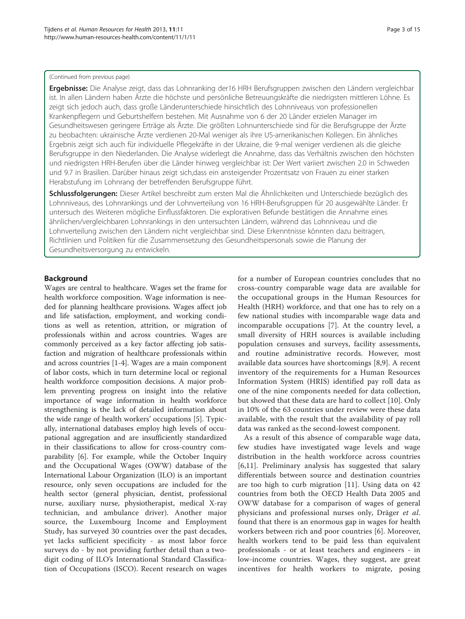#### (Continued from previous page)

Ergebnisse: Die Analyse zeigt, dass das Lohnranking der16 HRH Berufsgruppen zwischen den Ländern vergleichbar ist. In allen Ländern haben Ärzte die höchste und persönliche Betreuungskräfte die niedrigsten mittleren Löhne. Es zeigt sich jedoch auch, dass große Länderunterschiede hinsichtlich des Lohnniveaus von professionellen Krankenpflegern und Geburtshelfern bestehen. Mit Ausnahme von 6 der 20 Länder erzielen Manager im Gesundheitswesen geringere Erträge als Ärzte. Die größten Lohnunterschiede sind für die Berufsgruppe der Ärzte zu beobachten: ukrainische Ärzte verdienen 20-Mal weniger als ihre US-amerikanischen Kollegen. Ein ähnliches Ergebnis zeigt sich auch für individuelle Pflegekräfte in der Ukraine, die 9-mal weniger verdienen als die gleiche Berufsgruppe in den Niederlanden. Die Analyse widerlegt die Annahme, dass das Verhältnis zwischen den höchsten und niedrigsten HRH-Berufen über die Länder hinweg vergleichbar ist: Der Wert variiert zwischen 2.0 in Schweden und 9.7 in Brasilien. Darüber hinaus zeigt sich,dass ein ansteigender Prozentsatz von Frauen zu einer starken Herabstufung im Lohnrang der betreffenden Berufsgruppe führt.

Schlussfolgerungen: Dieser Artikel beschreibt zum ersten Mal die Ähnlichkeiten und Unterschiede bezüglich des Lohnniveaus, des Lohnrankings und der Lohnverteilung von 16 HRH-Berufsgruppen für 20 ausgewählte Länder. Er untersuch des Weiteren mögliche Einflussfaktoren. Die explorativen Befunde bestätigen die Annahme eines ähnlichen/vergleichbaren Lohnrankings in den untersuchten Ländern, während das Lohnniveau und die Lohnverteilung zwischen den Ländern nicht vergleichbar sind. Diese Erkenntnisse könnten dazu beitragen, Richtlinien und Politiken für die Zusammensetzung des Gesundheitspersonals sowie die Planung der Gesundheitsversorgung zu entwickeln.

#### Background

Wages are central to healthcare. Wages set the frame for health workforce composition. Wage information is needed for planning healthcare provisions. Wages affect job and life satisfaction, employment, and working conditions as well as retention, attrition, or migration of professionals within and across countries. Wages are commonly perceived as a key factor affecting job satisfaction and migration of healthcare professionals within and across countries [\[1](#page-14-0)-[4\]](#page-14-0). Wages are a main component of labor costs, which in turn determine local or regional health workforce composition decisions. A major problem preventing progress on insight into the relative importance of wage information in health workforce strengthening is the lack of detailed information about the wide range of health workers' occupations [[5\]](#page-14-0). Typically, international databases employ high levels of occupational aggregation and are insufficiently standardized in their classifications to allow for cross-country comparability [[6\]](#page-14-0). For example, while the October Inquiry and the Occupational Wages (OWW) database of the International Labour Organization (ILO) is an important resource, only seven occupations are included for the health sector (general physician, dentist, professional nurse, auxiliary nurse, physiotherapist, medical X-ray technician, and ambulance driver). Another major source, the Luxembourg Income and Employment Study, has surveyed 30 countries over the past decades, yet lacks sufficient specificity - as most labor force surveys do - by not providing further detail than a twodigit coding of ILO's International Standard Classification of Occupations (ISCO). Recent research on wages

for a number of European countries concludes that no cross-country comparable wage data are available for the occupational groups in the Human Resources for Health (HRH) workforce, and that one has to rely on a few national studies with incomparable wage data and incomparable occupations [[7\]](#page-14-0). At the country level, a small diversity of HRH sources is available including population censuses and surveys, facility assessments, and routine administrative records. However, most available data sources have shortcomings [[8,9](#page-14-0)]. A recent inventory of the requirements for a Human Resources Information System (HRIS) identified pay roll data as one of the nine components needed for data collection, but showed that these data are hard to collect [[10](#page-14-0)]. Only in 10% of the 63 countries under review were these data available, with the result that the availability of pay roll data was ranked as the second-lowest component.

As a result of this absence of comparable wage data, few studies have investigated wage levels and wage distribution in the health workforce across countries [[6,11](#page-14-0)]. Preliminary analysis has suggested that salary differentials between source and destination countries are too high to curb migration [[11\]](#page-14-0). Using data on 42 countries from both the OECD Health Data 2005 and OWW database for a comparison of wages of general physicians and professional nurses only, Dräger et al. found that there is an enormous gap in wages for health workers between rich and poor countries [[6\]](#page-14-0). Moreover, health workers tend to be paid less than equivalent professionals - or at least teachers and engineers - in low-income countries. Wages, they suggest, are great incentives for health workers to migrate, posing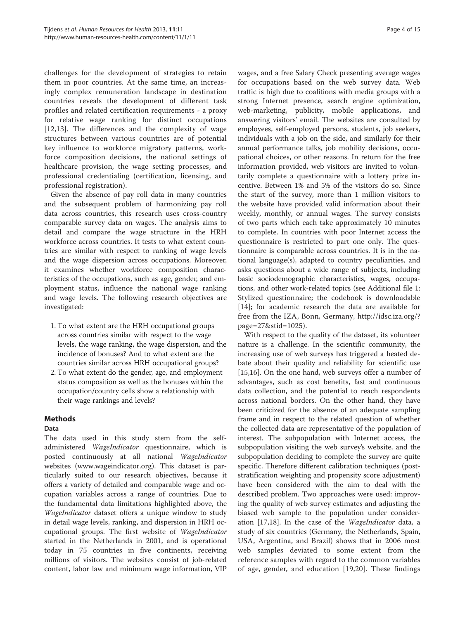challenges for the development of strategies to retain them in poor countries. At the same time, an increasingly complex remuneration landscape in destination countries reveals the development of different task profiles and related certification requirements - a proxy for relative wage ranking for distinct occupations [[12,13](#page-14-0)]. The differences and the complexity of wage structures between various countries are of potential key influence to workforce migratory patterns, workforce composition decisions, the national settings of healthcare provision, the wage setting processes, and professional credentialing (certification, licensing, and professional registration).

Given the absence of pay roll data in many countries and the subsequent problem of harmonizing pay roll data across countries, this research uses cross-country comparable survey data on wages. The analysis aims to detail and compare the wage structure in the HRH workforce across countries. It tests to what extent countries are similar with respect to ranking of wage levels and the wage dispersion across occupations. Moreover, it examines whether workforce composition characteristics of the occupations, such as age, gender, and employment status, influence the national wage ranking and wage levels. The following research objectives are investigated:

- 1. To what extent are the HRH occupational groups across countries similar with respect to the wage levels, the wage ranking, the wage dispersion, and the incidence of bonuses? And to what extent are the countries similar across HRH occupational groups?
- 2. To what extent do the gender, age, and employment status composition as well as the bonuses within the occupation/country cells show a relationship with their wage rankings and levels?

#### Methods

#### Data

The data used in this study stem from the selfadministered WageIndicator questionnaire, which is posted continuously at all national WageIndicator websites [\(www.wageindicator.org](http://www.wageindicator.org)). This dataset is particularly suited to our research objectives, because it offers a variety of detailed and comparable wage and occupation variables across a range of countries. Due to the fundamental data limitations highlighted above, the WageIndicator dataset offers a unique window to study in detail wage levels, ranking, and dispersion in HRH occupational groups. The first website of WageIndicator started in the Netherlands in 2001, and is operational today in 75 countries in five continents, receiving millions of visitors. The websites consist of job-related content, labor law and minimum wage information, VIP

wages, and a free Salary Check presenting average wages for occupations based on the web survey data. Web traffic is high due to coalitions with media groups with a strong Internet presence, search engine optimization, web-marketing, publicity, mobile applications, and answering visitors' email. The websites are consulted by employees, self-employed persons, students, job seekers, individuals with a job on the side, and similarly for their annual performance talks, job mobility decisions, occupational choices, or other reasons. In return for the free information provided, web visitors are invited to voluntarily complete a questionnaire with a lottery prize incentive. Between 1% and 5% of the visitors do so. Since the start of the survey, more than 1 million visitors to the website have provided valid information about their weekly, monthly, or annual wages. The survey consists of two parts which each take approximately 10 minutes to complete. In countries with poor Internet access the questionnaire is restricted to part one only. The questionnaire is comparable across countries. It is in the national language(s), adapted to country peculiarities, and asks questions about a wide range of subjects, including basic sociodemographic characteristics, wages, occupations, and other work-related topics (see Additional file [1](#page-13-0): Stylized questionnaire; the codebook is downloadable [[14](#page-14-0)]; for academic research the data are available for free from the IZA, Bonn, Germany, [http://idsc.iza.org/?](http://idsc.iza.org/?page=27&stid=1025) [page=27&stid=1025\)](http://idsc.iza.org/?page=27&stid=1025).

With respect to the quality of the dataset, its volunteer nature is a challenge. In the scientific community, the increasing use of web surveys has triggered a heated debate about their quality and reliability for scientific use [[15,16\]](#page-14-0). On the one hand, web surveys offer a number of advantages, such as cost benefits, fast and continuous data collection, and the potential to reach respondents across national borders. On the other hand, they have been criticized for the absence of an adequate sampling frame and in respect to the related question of whether the collected data are representative of the population of interest. The subpopulation with Internet access, the subpopulation visiting the web survey's website, and the subpopulation deciding to complete the survey are quite specific. Therefore different calibration techniques (poststratification weighting and propensity score adjustment) have been considered with the aim to deal with the described problem. Two approaches were used: improving the quality of web survey estimates and adjusting the biased web sample to the population under consider-ation [[17,18\]](#page-14-0). In the case of the *WageIndicator* data, a study of six countries (Germany, the Netherlands, Spain, USA, Argentina, and Brazil) shows that in 2006 most web samples deviated to some extent from the reference samples with regard to the common variables of age, gender, and education [[19,20](#page-14-0)]. These findings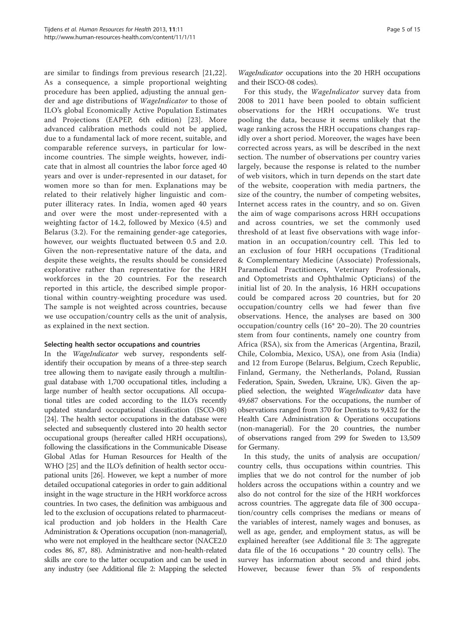are similar to findings from previous research [[21,22](#page-14-0)]. As a consequence, a simple proportional weighting procedure has been applied, adjusting the annual gender and age distributions of WageIndicator to those of ILO's global Economically Active Population Estimates and Projections (EAPEP, 6th edition) [[23](#page-14-0)]. More advanced calibration methods could not be applied, due to a fundamental lack of more recent, suitable, and comparable reference surveys, in particular for lowincome countries. The simple weights, however, indicate that in almost all countries the labor force aged 40 years and over is under-represented in our dataset, for women more so than for men. Explanations may be related to their relatively higher linguistic and computer illiteracy rates. In India, women aged 40 years and over were the most under-represented with a weighting factor of 14.2, followed by Mexico (4.5) and Belarus (3.2). For the remaining gender-age categories, however, our weights fluctuated between 0.5 and 2.0. Given the non-representative nature of the data, and despite these weights, the results should be considered explorative rather than representative for the HRH workforces in the 20 countries. For the research reported in this article, the described simple proportional within country-weighting procedure was used. The sample is not weighted across countries, because we use occupation/country cells as the unit of analysis, as explained in the next section.

#### Selecting health sector occupations and countries

In the *WageIndicator* web survey, respondents selfidentify their occupation by means of a three-step search tree allowing them to navigate easily through a multilingual database with 1,700 occupational titles, including a large number of health sector occupations. All occupational titles are coded according to the ILO's recently updated standard occupational classification (ISCO-08) [[24](#page-15-0)]. The health sector occupations in the database were selected and subsequently clustered into 20 health sector occupational groups (hereafter called HRH occupations), following the classifications in the Communicable Disease Global Atlas for Human Resources for Health of the WHO [[25](#page-15-0)] and the ILO's definition of health sector occupational units [\[26\]](#page-15-0). However, we kept a number of more detailed occupational categories in order to gain additional insight in the wage structure in the HRH workforce across countries. In two cases, the definition was ambiguous and led to the exclusion of occupations related to pharmaceutical production and job holders in the Health Care Administration & Operations occupation (non-managerial), who were not employed in the healthcare sector (NACE2.0 codes 86, 87, 88). Administrative and non-health-related skills are core to the latter occupation and can be used in any industry (see Additional file [2:](#page-13-0) Mapping the selected WageIndicator occupations into the 20 HRH occupations and their ISCO-08 codes).

For this study, the WageIndicator survey data from 2008 to 2011 have been pooled to obtain sufficient observations for the HRH occupations. We trust pooling the data, because it seems unlikely that the wage ranking across the HRH occupations changes rapidly over a short period. Moreover, the wages have been corrected across years, as will be described in the next section. The number of observations per country varies largely, because the response is related to the number of web visitors, which in turn depends on the start date of the website, cooperation with media partners, the size of the country, the number of competing websites, Internet access rates in the country, and so on. Given the aim of wage comparisons across HRH occupations and across countries, we set the commonly used threshold of at least five observations with wage information in an occupation/country cell. This led to an exclusion of four HRH occupations (Traditional & Complementary Medicine (Associate) Professionals, Paramedical Practitioners, Veterinary Professionals, and Optometrists and Ophthalmic Opticians) of the initial list of 20. In the analysis, 16 HRH occupations could be compared across 20 countries, but for 20 occupation/country cells we had fewer than five observations. Hence, the analyses are based on 300 occupation/country cells (16\* 20–20). The 20 countries stem from four continents, namely one country from Africa (RSA), six from the Americas (Argentina, Brazil, Chile, Colombia, Mexico, USA), one from Asia (India) and 12 from Europe (Belarus, Belgium, Czech Republic, Finland, Germany, the Netherlands, Poland, Russian Federation, Spain, Sweden, Ukraine, UK). Given the applied selection, the weighted WageIndicator data have 49,687 observations. For the occupations, the number of observations ranged from 370 for Dentists to 9,432 for the Health Care Administration & Operations occupations (non-managerial). For the 20 countries, the number of observations ranged from 299 for Sweden to 13,509 for Germany.

In this study, the units of analysis are occupation/ country cells, thus occupations within countries. This implies that we do not control for the number of job holders across the occupations within a country and we also do not control for the size of the HRH workforces across countries. The aggregate data file of 300 occupation/country cells comprises the medians or means of the variables of interest, namely wages and bonuses, as well as age, gender, and employment status, as will be explained hereafter (see Additional file [3](#page-14-0): The aggregate data file of the 16 occupations \* 20 country cells). The survey has information about second and third jobs. However, because fewer than 5% of respondents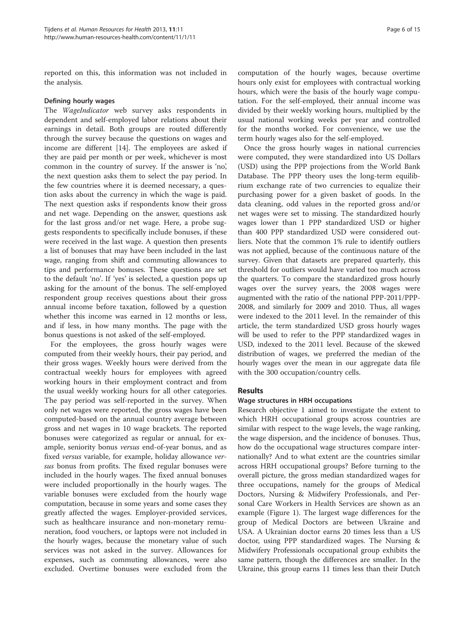reported on this, this information was not included in the analysis.

#### Defining hourly wages

The *WageIndicator* web survey asks respondents in dependent and self-employed labor relations about their earnings in detail. Both groups are routed differently through the survey because the questions on wages and income are different [[14](#page-14-0)]. The employees are asked if they are paid per month or per week, whichever is most common in the country of survey. If the answer is 'no', the next question asks them to select the pay period. In the few countries where it is deemed necessary, a question asks about the currency in which the wage is paid. The next question asks if respondents know their gross and net wage. Depending on the answer, questions ask for the last gross and/or net wage. Here, a probe suggests respondents to specifically include bonuses, if these were received in the last wage. A question then presents a list of bonuses that may have been included in the last wage, ranging from shift and commuting allowances to tips and performance bonuses. These questions are set to the default 'no'. If 'yes' is selected, a question pops up asking for the amount of the bonus. The self-employed respondent group receives questions about their gross annual income before taxation, followed by a question whether this income was earned in 12 months or less, and if less, in how many months. The page with the bonus questions is not asked of the self-employed.

For the employees, the gross hourly wages were computed from their weekly hours, their pay period, and their gross wages. Weekly hours were derived from the contractual weekly hours for employees with agreed working hours in their employment contract and from the usual weekly working hours for all other categories. The pay period was self-reported in the survey. When only net wages were reported, the gross wages have been computed-based on the annual country average between gross and net wages in 10 wage brackets. The reported bonuses were categorized as regular or annual, for example, seniority bonus versus end-of-year bonus, and as fixed versus variable, for example, holiday allowance versus bonus from profits. The fixed regular bonuses were included in the hourly wages. The fixed annual bonuses were included proportionally in the hourly wages. The variable bonuses were excluded from the hourly wage computation, because in some years and some cases they greatly affected the wages. Employer-provided services, such as healthcare insurance and non-monetary remuneration, food vouchers, or laptops were not included in the hourly wages, because the monetary value of such services was not asked in the survey. Allowances for expenses, such as commuting allowances, were also excluded. Overtime bonuses were excluded from the

computation of the hourly wages, because overtime hours only exist for employees with contractual working hours, which were the basis of the hourly wage computation. For the self-employed, their annual income was divided by their weekly working hours, multiplied by the usual national working weeks per year and controlled for the months worked. For convenience, we use the term hourly wages also for the self-employed.

Once the gross hourly wages in national currencies were computed, they were standardized into US Dollars (USD) using the PPP projections from the World Bank Database. The PPP theory uses the long-term equilibrium exchange rate of two currencies to equalize their purchasing power for a given basket of goods. In the data cleaning, odd values in the reported gross and/or net wages were set to missing. The standardized hourly wages lower than 1 PPP standardized USD or higher than 400 PPP standardized USD were considered outliers. Note that the common 1% rule to identify outliers was not applied, because of the continuous nature of the survey. Given that datasets are prepared quarterly, this threshold for outliers would have varied too much across the quarters. To compare the standardized gross hourly wages over the survey years, the 2008 wages were augmented with the ratio of the national PPP-2011/PPP-2008, and similarly for 2009 and 2010. Thus, all wages were indexed to the 2011 level. In the remainder of this article, the term standardized USD gross hourly wages will be used to refer to the PPP standardized wages in USD, indexed to the 2011 level. Because of the skewed distribution of wages, we preferred the median of the hourly wages over the mean in our aggregate data file with the 300 occupation/country cells.

#### Results

#### Wage structures in HRH occupations

Research objective 1 aimed to investigate the extent to which HRH occupational groups across countries are similar with respect to the wage levels, the wage ranking, the wage dispersion, and the incidence of bonuses. Thus, how do the occupational wage structures compare internationally? And to what extent are the countries similar across HRH occupational groups? Before turning to the overall picture, the gross median standardized wages for three occupations, namely for the groups of Medical Doctors, Nursing & Midwifery Professionals, and Personal Care Workers in Health Services are shown as an example (Figure [1\)](#page-7-0). The largest wage differences for the group of Medical Doctors are between Ukraine and USA. A Ukrainian doctor earns 20 times less than a US doctor, using PPP standardized wages. The Nursing & Midwifery Professionals occupational group exhibits the same pattern, though the differences are smaller. In the Ukraine, this group earns 11 times less than their Dutch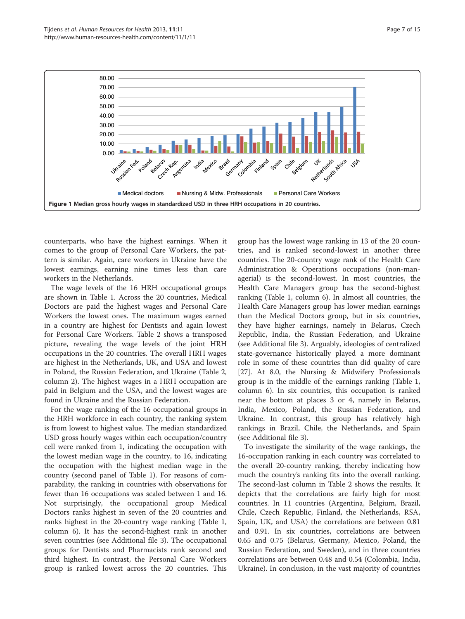<span id="page-7-0"></span>

counterparts, who have the highest earnings. When it comes to the group of Personal Care Workers, the pattern is similar. Again, care workers in Ukraine have the lowest earnings, earning nine times less than care workers in the Netherlands.

The wage levels of the 16 HRH occupational groups are shown in Table [1](#page-8-0). Across the 20 countries, Medical Doctors are paid the highest wages and Personal Care Workers the lowest ones. The maximum wages earned in a country are highest for Dentists and again lowest for Personal Care Workers. Table [2](#page-9-0) shows a transposed picture, revealing the wage levels of the joint HRH occupations in the 20 countries. The overall HRH wages are highest in the Netherlands, UK, and USA and lowest in Poland, the Russian Federation, and Ukraine (Table [2](#page-9-0), column 2). The highest wages in a HRH occupation are paid in Belgium and the USA, and the lowest wages are found in Ukraine and the Russian Federation.

For the wage ranking of the 16 occupational groups in the HRH workforce in each country, the ranking system is from lowest to highest value. The median standardized USD gross hourly wages within each occupation/country cell were ranked from 1, indicating the occupation with the lowest median wage in the country, to 16, indicating the occupation with the highest median wage in the country (second panel of Table [1](#page-8-0)). For reasons of comparability, the ranking in countries with observations for fewer than 16 occupations was scaled between 1 and 16. Not surprisingly, the occupational group Medical Doctors ranks highest in seven of the 20 countries and ranks highest in the 20-country wage ranking (Table [1](#page-8-0), column 6). It has the second-highest rank in another seven countries (see Additional file [3](#page-14-0)). The occupational groups for Dentists and Pharmacists rank second and third highest. In contrast, the Personal Care Workers group is ranked lowest across the 20 countries. This

group has the lowest wage ranking in 13 of the 20 countries, and is ranked second-lowest in another three countries. The 20-country wage rank of the Health Care Administration & Operations occupations (non-managerial) is the second-lowest. In most countries, the Health Care Managers group has the second-highest ranking (Table [1,](#page-8-0) column 6). In almost all countries, the Health Care Managers group has lower median earnings than the Medical Doctors group, but in six countries, they have higher earnings, namely in Belarus, Czech Republic, India, the Russian Federation, and Ukraine (see Additional file [3\)](#page-14-0). Arguably, ideologies of centralized state-governance historically played a more dominant role in some of these countries than did quality of care [[27\]](#page-15-0). At 8.0, the Nursing & Midwifery Professionals group is in the middle of the earnings ranking (Table [1](#page-8-0), column 6). In six countries, this occupation is ranked near the bottom at places 3 or 4, namely in Belarus, India, Mexico, Poland, the Russian Federation, and Ukraine. In contrast, this group has relatively high rankings in Brazil, Chile, the Netherlands, and Spain (see Additional file [3\)](#page-14-0).

To investigate the similarity of the wage rankings, the 16-occupation ranking in each country was correlated to the overall 20-country ranking, thereby indicating how much the country's ranking fits into the overall ranking. The second-last column in Table [2](#page-9-0) shows the results. It depicts that the correlations are fairly high for most countries. In 11 countries (Argentina, Belgium, Brazil, Chile, Czech Republic, Finland, the Netherlands, RSA, Spain, UK, and USA) the correlations are between 0.81 and 0.91. In six countries, correlations are between 0.65 and 0.75 (Belarus, Germany, Mexico, Poland, the Russian Federation, and Sweden), and in three countries correlations are between 0.48 and 0.54 (Colombia, India, Ukraine). In conclusion, in the vast majority of countries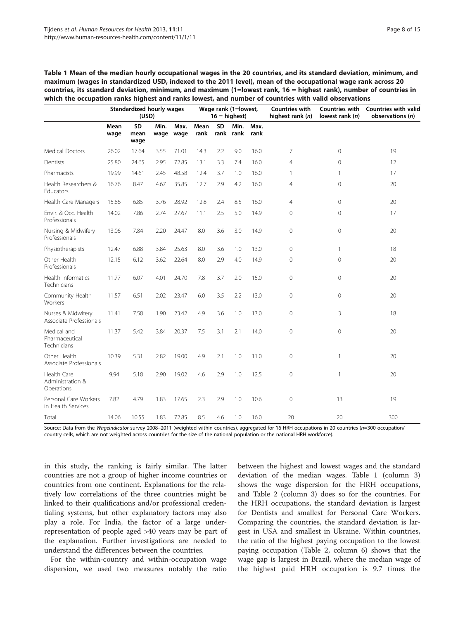<span id="page-8-0"></span>

| Table 1 Mean of the median hourly occupational wages in the 20 countries, and its standard deviation, minimum, and |
|--------------------------------------------------------------------------------------------------------------------|
| maximum (wages in standardized USD, indexed to the 2011 level), mean of the occupational wage rank across 20       |
| countries, its standard deviation, minimum, and maximum (1=lowest rank, 16 = highest rank), number of countries in |
| which the occupation ranks highest and ranks lowest, and number of countries with valid observations               |

|                                               | <b>Standardized hourly wages</b><br>(USD) |                    |              | Wage rank (1=lowest,<br>$16 =$ highest) |              |                   |              | <b>Countries with</b><br>highest rank (n) | Countries with<br>lowest rank $(n)$ | Countries with valid<br>observations (n) |     |
|-----------------------------------------------|-------------------------------------------|--------------------|--------------|-----------------------------------------|--------------|-------------------|--------------|-------------------------------------------|-------------------------------------|------------------------------------------|-----|
|                                               | Mean<br>wage                              | SD<br>mean<br>wage | Min.<br>wage | Max.<br>wage                            | Mean<br>rank | <b>SD</b><br>rank | Min.<br>rank | Max.<br>rank                              |                                     |                                          |     |
| <b>Medical Doctors</b>                        | 26.02                                     | 17.64              | 3.55         | 71.01                                   | 14.3         | 2.2               | 9.0          | 16.0                                      | 7                                   | $\Omega$                                 | 19  |
| Dentists                                      | 25.80                                     | 24.65              | 2.95         | 72.85                                   | 13.1         | 3.3               | 7.4          | 16.0                                      | $\overline{4}$                      | 0                                        | 12  |
| Pharmacists                                   | 19.99                                     | 14.61              | 2.45         | 48.58                                   | 12.4         | 3.7               | 1.0          | 16.0                                      | 1                                   |                                          | 17  |
| Health Researchers &<br>Educators             | 16.76                                     | 8.47               | 4.67         | 35.85                                   | 12.7         | 2.9               | 4.2          | 16.0                                      | $\overline{4}$                      | 0                                        | 20  |
| Health Care Managers                          | 15.86                                     | 6.85               | 3.76         | 28.92                                   | 12.8         | 2.4               | 8.5          | 16.0                                      | $\overline{4}$                      | 0                                        | 20  |
| Envir. & Occ. Health<br>Professionals         | 14.02                                     | 7.86               | 2.74         | 27.67                                   | 11.1         | 2.5               | 5.0          | 14.9                                      | 0                                   | 0                                        | 17  |
| Nursing & Midwifery<br>Professionals          | 13.06                                     | 7.84               | 2.20         | 24.47                                   | 8.0          | 3.6               | 3.0          | 14.9                                      | $\mathbf 0$                         | 0                                        | 20  |
| Physiotherapists                              | 12.47                                     | 6.88               | 3.84         | 25.63                                   | 8.0          | 3.6               | 1.0          | 13.0                                      | $\mathbf 0$                         |                                          | 18  |
| Other Health<br>Professionals                 | 12.15                                     | 6.12               | 3.62         | 22.64                                   | 8.0          | 2.9               | 4.0          | 14.9                                      | 0                                   | 0                                        | 20  |
| Health Informatics<br>Technicians             | 11.77                                     | 6.07               | 4.01         | 24.70                                   | 7.8          | 3.7               | 2.0          | 15.0                                      | 0                                   | $\Omega$                                 | 20  |
| Community Health<br>Workers                   | 11.57                                     | 6.51               | 2.02         | 23.47                                   | 6.0          | 3.5               | 2.2          | 13.0                                      | $\mathbf 0$                         | 0                                        | 20  |
| Nurses & Midwifery<br>Associate Professionals | 11.41                                     | 7.58               | 1.90         | 23.42                                   | 4.9          | 3.6               | 1.0          | 13.0                                      | $\Omega$                            | 3                                        | 18  |
| Medical and<br>Pharmaceutical<br>Technicians  | 11.37                                     | 5.42               | 3.84         | 20.37                                   | 7.5          | 3.1               | 2.1          | 14.0                                      | $\mathbf 0$                         | 0                                        | 20  |
| Other Health<br>Associate Professionals       | 10.39                                     | 5.31               | 2.82         | 19.00                                   | 4.9          | 2.1               | 1.0          | 11.0                                      | $\mathbf 0$                         |                                          | 20  |
| Health Care<br>Administration &<br>Operations | 9.94                                      | 5.18               | 2.90         | 19.02                                   | 4.6          | 2.9               | 1.0          | 12.5                                      | $\mathbf 0$                         |                                          | 20  |
| Personal Care Workers<br>in Health Services   | 7.82                                      | 4.79               | 1.83         | 17.65                                   | 2.3          | 2.9               | 1.0          | 10.6                                      | $\mathbf 0$                         | 13                                       | 19  |
| Total                                         | 14.06                                     | 10.55              | 1.83         | 72.85                                   | 8.5          | 4.6               | 1.0          | 16.0                                      | 20                                  | 20                                       | 300 |

Source: Data from the WageIndicator survey 2008-2011 (weighted within countries), aggregated for 16 HRH occupations in 20 countries (n=300 occupation/ country cells, which are not weighted across countries for the size of the national population or the national HRH workforce).

in this study, the ranking is fairly similar. The latter countries are not a group of higher income countries or countries from one continent. Explanations for the relatively low correlations of the three countries might be linked to their qualifications and/or professional credentialing systems, but other explanatory factors may also play a role. For India, the factor of a large underrepresentation of people aged >40 years may be part of the explanation. Further investigations are needed to understand the differences between the countries.

For the within-country and within-occupation wage dispersion, we used two measures notably the ratio

between the highest and lowest wages and the standard deviation of the median wages. Table 1 (column 3) shows the wage dispersion for the HRH occupations, and Table [2](#page-9-0) (column 3) does so for the countries. For the HRH occupations, the standard deviation is largest for Dentists and smallest for Personal Care Workers. Comparing the countries, the standard deviation is largest in USA and smallest in Ukraine. Within countries, the ratio of the highest paying occupation to the lowest paying occupation (Table [2,](#page-9-0) column 6) shows that the wage gap is largest in Brazil, where the median wage of the highest paid HRH occupation is 9.7 times the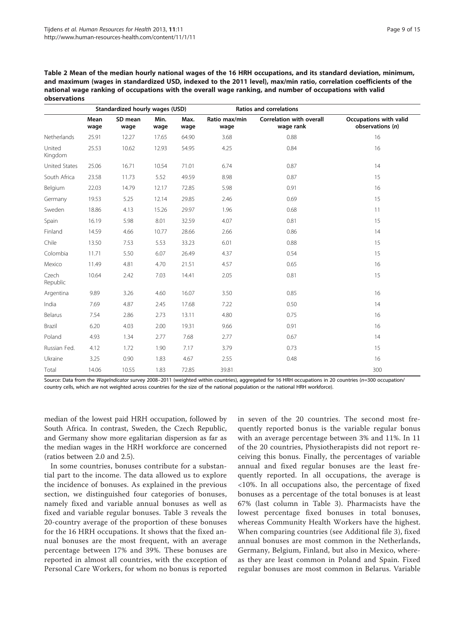|                   | Standardized hourly wages (USD) |                 |              |              |                       | <b>Ratios and correlations</b>        |                                            |
|-------------------|---------------------------------|-----------------|--------------|--------------|-----------------------|---------------------------------------|--------------------------------------------|
|                   | Mean<br>wage                    | SD mean<br>wage | Min.<br>wage | Max.<br>wage | Ratio max/min<br>wage | Correlation with overall<br>wage rank | Occupations with valid<br>observations (n) |
| Netherlands       | 25.91                           | 12.27           | 17.65        | 64.90        | 3.68                  | 0.88                                  | 16                                         |
| United<br>Kingdom | 25.53                           | 10.62           | 12.93        | 54.95        | 4.25                  | 0.84                                  | 16                                         |
| United States     | 25.06                           | 16.71           | 10.54        | 71.01        | 6.74                  | 0.87                                  | 14                                         |
| South Africa      | 23.58                           | 11.73           | 5.52         | 49.59        | 8.98                  | 0.87                                  | 15                                         |
| Belgium           | 22.03                           | 14.79           | 12.17        | 72.85        | 5.98                  | 0.91                                  | 16                                         |
| Germany           | 19.53                           | 5.25            | 12.14        | 29.85        | 2.46                  | 0.69                                  | 15                                         |
| Sweden            | 18.86                           | 4.13            | 15.26        | 29.97        | 1.96                  | 0.68                                  | 11                                         |
| Spain             | 16.19                           | 5.98            | 8.01         | 32.59        | 4.07                  | 0.81                                  | 15                                         |
| Finland           | 14.59                           | 4.66            | 10.77        | 28.66        | 2.66                  | 0.86                                  | 14                                         |
| Chile             | 13.50                           | 7.53            | 5.53         | 33.23        | 6.01                  | 0.88                                  | 15                                         |
| Colombia          | 11.71                           | 5.50            | 6.07         | 26.49        | 4.37                  | 0.54                                  | 15                                         |
| Mexico            | 11.49                           | 4.81            | 4.70         | 21.51        | 4.57                  | 0.65                                  | 16                                         |
| Czech<br>Republic | 10.64                           | 2.42            | 7.03         | 14.41        | 2.05                  | 0.81                                  | 15                                         |
| Argentina         | 9.89                            | 3.26            | 4.60         | 16.07        | 3.50                  | 0.85                                  | 16                                         |
| India             | 7.69                            | 4.87            | 2.45         | 17.68        | 7.22                  | 0.50                                  | 14                                         |
| Belarus           | 7.54                            | 2.86            | 2.73         | 13.11        | 4.80                  | 0.75                                  | 16                                         |
| Brazil            | 6.20                            | 4.03            | 2.00         | 19.31        | 9.66                  | 0.91                                  | 16                                         |
| Poland            | 4.93                            | 1.34            | 2.77         | 7.68         | 2.77                  | 0.67                                  | 14                                         |
| Russian Fed.      | 4.12                            | 1.72            | 1.90         | 7.17         | 3.79                  | 0.73                                  | 15                                         |
| Ukraine           | 3.25                            | 0.90            | 1.83         | 4.67         | 2.55                  | 0.48                                  | 16                                         |
| Total             | 14.06                           | 10.55           | 1.83         | 72.85        | 39.81                 |                                       | 300                                        |

<span id="page-9-0"></span>Table 2 Mean of the median hourly national wages of the 16 HRH occupations, and its standard deviation, minimum, and maximum (wages in standardized USD, indexed to the 2011 level), max/min ratio, correlation coefficients of the national wage ranking of occupations with the overall wage ranking, and number of occupations with valid observations

Source: Data from the WageIndicator survey 2008-2011 (weighted within countries), aggregated for 16 HRH occupations in 20 countries (n=300 occupation/ country cells, which are not weighted across countries for the size of the national population or the national HRH workforce).

median of the lowest paid HRH occupation, followed by South Africa. In contrast, Sweden, the Czech Republic, and Germany show more egalitarian dispersion as far as the median wages in the HRH workforce are concerned (ratios between 2.0 and 2.5).

In some countries, bonuses contribute for a substantial part to the income. The data allowed us to explore the incidence of bonuses. As explained in the previous section, we distinguished four categories of bonuses, namely fixed and variable annual bonuses as well as fixed and variable regular bonuses. Table [3](#page-10-0) reveals the 20-country average of the proportion of these bonuses for the 16 HRH occupations. It shows that the fixed annual bonuses are the most frequent, with an average percentage between 17% and 39%. These bonuses are reported in almost all countries, with the exception of Personal Care Workers, for whom no bonus is reported in seven of the 20 countries. The second most frequently reported bonus is the variable regular bonus with an average percentage between 3% and 11%. In 11 of the 20 countries, Physiotherapists did not report receiving this bonus. Finally, the percentages of variable annual and fixed regular bonuses are the least frequently reported. In all occupations, the average is <10%. In all occupations also, the percentage of fixed bonuses as a percentage of the total bonuses is at least 67% (last column in Table [3\)](#page-10-0). Pharmacists have the lowest percentage fixed bonuses in total bonuses, whereas Community Health Workers have the highest. When comparing countries (see Additional file [3\)](#page-14-0), fixed annual bonuses are most common in the Netherlands, Germany, Belgium, Finland, but also in Mexico, whereas they are least common in Poland and Spain. Fixed regular bonuses are most common in Belarus. Variable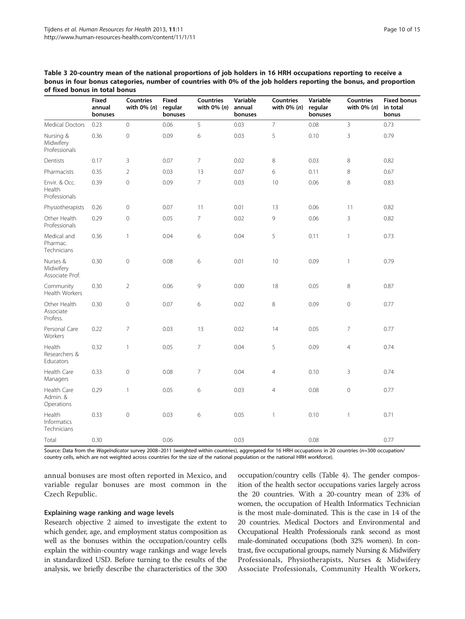<span id="page-10-0"></span>

| Table 3 20-country mean of the national proportions of job holders in 16 HRH occupations reporting to receive a    |
|--------------------------------------------------------------------------------------------------------------------|
| bonus in four bonus categories, number of countries with 0% of the job holders reporting the bonus, and proportion |
| of fixed bonus in total bonus                                                                                      |

|                                          | Fixed<br>annual<br>bonuses | Countries<br>with $0\%$ (n) | Fixed<br>regular<br>bonuses | Countries<br>with $0\%$ (n) | Variable<br>annual<br>bonuses | Countries<br>with $0\%$ (n) | Variable<br>regular<br>bonuses | <b>Countries</b><br>with $0\%$ (n) | <b>Fixed bonus</b><br>in total<br>bonus |
|------------------------------------------|----------------------------|-----------------------------|-----------------------------|-----------------------------|-------------------------------|-----------------------------|--------------------------------|------------------------------------|-----------------------------------------|
| Medical Doctors                          | 0.23                       | $\mathbf 0$                 | 0.06                        | 5                           | 0.03                          | $\overline{7}$              | 0.08                           | $\overline{3}$                     | 0.73                                    |
| Nursing &<br>Midwifery<br>Professionals  | 0.36                       | $\mathbf 0$                 | 0.09                        | 6                           | 0.03                          | 5                           | 0.10                           | 3                                  | 0.79                                    |
| Dentists                                 | 0.17                       | 3                           | 0.07                        | 7                           | 0.02                          | 8                           | 0.03                           | 8                                  | 0.82                                    |
| Pharmacists                              | 0.35                       | $\overline{2}$              | 0.03                        | 13                          | 0.07                          | 6                           | 0.11                           | 8                                  | 0.67                                    |
| Envir. & Occ.<br>Health<br>Professionals | 0.39                       | $\mathbf 0$                 | 0.09                        | $\overline{7}$              | 0.03                          | 10                          | 0.06                           | 8                                  | 0.83                                    |
| Physiotherapists                         | 0.26                       | $\mathbf 0$                 | 0.07                        | 11                          | 0.01                          | 13                          | 0.06                           | 11                                 | 0.82                                    |
| Other Health<br>Professionals            | 0.29                       | $\mathbf 0$                 | 0.05                        | $\overline{7}$              | 0.02                          | 9                           | 0.06                           | 3                                  | 0.82                                    |
| Medical and<br>Pharmac.<br>Technicians   | 0.36                       | $\mathbf{1}$                | 0.04                        | 6                           | 0.04                          | 5                           | 0.11                           | $\mathbf{1}$                       | 0.73                                    |
| Nurses &<br>Midwifery<br>Associate Prof. | 0.30                       | $\mathsf{O}\xspace$         | 0.08                        | 6                           | 0.01                          | 10                          | 0.09                           | $\mathbf{1}$                       | 0.79                                    |
| Community<br>Health Workers              | 0.30                       | $\overline{2}$              | 0.06                        | 9                           | 0.00                          | 18                          | 0.05                           | 8                                  | 0.87                                    |
| Other Health<br>Associate<br>Profess.    | 0.30                       | $\mathbf 0$                 | 0.07                        | 6                           | 0.02                          | 8                           | 0.09                           | $\mathbf 0$                        | 0.77                                    |
| Personal Care<br>Workers                 | 0.22                       | $\overline{\phantom{a}}$    | 0.03                        | 13                          | 0.02                          | 14                          | 0.05                           | $\overline{\mathcal{I}}$           | 0.77                                    |
| Health<br>Researchers &<br>Educators     | 0.32                       | $\mathbf{1}$                | 0.05                        | $\overline{7}$              | 0.04                          | 5                           | 0.09                           | $\overline{4}$                     | 0.74                                    |
| Health Care<br>Managers                  | 0.33                       | $\mathbf 0$                 | 0.08                        | $\overline{7}$              | 0.04                          | $\overline{4}$              | 0.10                           | 3                                  | 0.74                                    |
| Health Care<br>Admin. &<br>Operations    | 0.29                       | $\mathbf{1}$                | 0.05                        | 6                           | 0.03                          | $\overline{4}$              | 0.08                           | $\mathbf 0$                        | 0.77                                    |
| Health<br>Informatics<br>Technicians     | 0.33                       | $\mathbf 0$                 | 0.03                        | 6                           | 0.05                          | $\mathbf{1}$                | 0.10                           | $\mathbf{1}$                       | 0.71                                    |
| Total                                    | 0.30                       |                             | 0.06                        |                             | 0.03                          |                             | 0.08                           |                                    | 0.77                                    |

Source: Data from the WageIndicator survey 2008-2011 (weighted within countries), aggregated for 16 HRH occupations in 20 countries (n=300 occupation/ country cells, which are not weighted across countries for the size of the national population or the national HRH workforce).

annual bonuses are most often reported in Mexico, and variable regular bonuses are most common in the Czech Republic.

#### Explaining wage ranking and wage levels

Research objective 2 aimed to investigate the extent to which gender, age, and employment status composition as well as the bonuses within the occupation/country cells explain the within-country wage rankings and wage levels in standardized USD. Before turning to the results of the analysis, we briefly describe the characteristics of the 300

occupation/country cells (Table [4\)](#page-11-0). The gender composition of the health sector occupations varies largely across the 20 countries. With a 20-country mean of 23% of women, the occupation of Health Informatics Technician is the most male-dominated. This is the case in 14 of the 20 countries. Medical Doctors and Environmental and Occupational Health Professionals rank second as most male-dominated occupations (both 32% women). In contrast, five occupational groups, namely Nursing & Midwifery Professionals, Physiotherapists, Nurses & Midwifery Associate Professionals, Community Health Workers,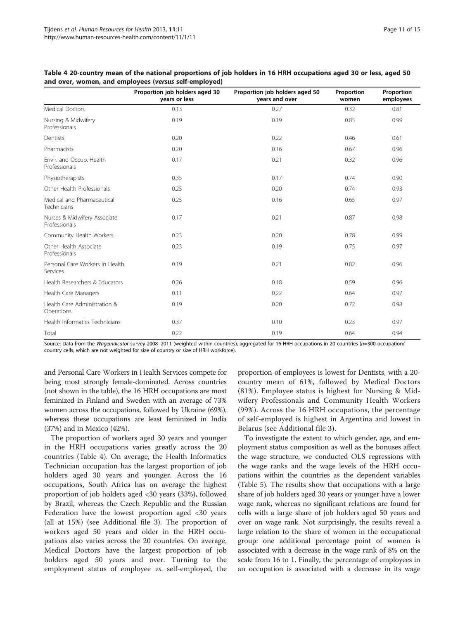|                                               | Proportion job holders aged 30<br>years or less | Proportion job holders aged 50<br>years and over | Proportion<br>women | Proportion<br>employees |
|-----------------------------------------------|-------------------------------------------------|--------------------------------------------------|---------------------|-------------------------|
| <b>Medical Doctors</b>                        | 0.13                                            | 0.27                                             | 0.32                | 0.81                    |
| Nursing & Midwifery<br>Professionals          | 0.19                                            | 0.19                                             | 0.85                | 0.99                    |
| Dentists                                      | 0.20                                            | 0.22                                             | 0.46                | 0.61                    |
| Pharmacists                                   | 0.20                                            | 0.16                                             | 0.67                | 0.96                    |
| Envir. and Occup. Health<br>Professionals     | 0.17                                            | 0.21                                             | 0.32                | 0.96                    |
| Physiotherapists                              | 0.35                                            | 0.17                                             | 0.74                | 0.90                    |
| Other Health Professionals                    | 0.25                                            | 0.20                                             | 0.74                | 0.93                    |
| Medical and Pharmaceutical<br>Technicians     | 0.25                                            | 0.16                                             | 0.65                | 0.97                    |
| Nurses & Midwifery Associate<br>Professionals | 0.17                                            | 0.21                                             | 0.87                | 0.98                    |
| Community Health Workers                      | 0.23                                            | 0.20                                             | 0.78                | 0.99                    |
| Other Health Associate<br>Professionals       | 0.23                                            | 0.19                                             | 0.75                | 0.97                    |
| Personal Care Workers in Health<br>Services   | 0.19                                            | 0.21                                             | 0.82                | 0.96                    |
| Health Researchers & Educators                | 0.26                                            | 0.18                                             | 0.59                | 0.96                    |
| Health Care Managers                          | 0.11                                            | 0.22                                             | 0.64                | 0.97                    |
| Health Care Administration &<br>Operations    | 0.19                                            | 0.20                                             | 0.72                | 0.98                    |
| Health Informatics Technicians                | 0.37                                            | 0.10                                             | 0.23                | 0.97                    |
| Total                                         | 0.22                                            | 0.19                                             | 0.64                | 0.94                    |

<span id="page-11-0"></span>Table 4 20-country mean of the national proportions of job holders in 16 HRH occupations aged 30 or less, aged 50 and over, women, and employees (versus self-employed)

Source: Data from the WageIndicator survey 2008-2011 (weighted within countries), aggregated for 16 HRH occupations in 20 countries (n=300 occupation/ country cells, which are not weighted for size of country or size of HRH workforce).

and Personal Care Workers in Health Services compete for being most strongly female-dominated. Across countries (not shown in the table), the 16 HRH occupations are most feminized in Finland and Sweden with an average of 73% women across the occupations, followed by Ukraine (69%), whereas these occupations are least feminized in India (37%) and in Mexico (42%).

The proportion of workers aged 30 years and younger in the HRH occupations varies greatly across the 20 countries (Table 4). On average, the Health Informatics Technician occupation has the largest proportion of job holders aged 30 years and younger. Across the 16 occupations, South Africa has on average the highest proportion of job holders aged <30 years (33%), followed by Brazil, whereas the Czech Republic and the Russian Federation have the lowest proportion aged <30 years (all at 15%) (see Additional file [3](#page-14-0)). The proportion of workers aged 50 years and older in the HRH occupations also varies across the 20 countries. On average, Medical Doctors have the largest proportion of job holders aged 50 years and over. Turning to the employment status of employee vs. self-employed, the proportion of employees is lowest for Dentists, with a 20 country mean of 61%, followed by Medical Doctors (81%). Employee status is highest for Nursing & Midwifery Professionals and Community Health Workers (99%). Across the 16 HRH occupations, the percentage of self-employed is highest in Argentina and lowest in Belarus (see Additional file [3](#page-14-0)).

To investigate the extent to which gender, age, and employment status composition as well as the bonuses affect the wage structure, we conducted OLS regressions with the wage ranks and the wage levels of the HRH occupations within the countries as the dependent variables (Table [5\)](#page-12-0). The results show that occupations with a large share of job holders aged 30 years or younger have a lower wage rank, whereas no significant relations are found for cells with a large share of job holders aged 50 years and over on wage rank. Not surprisingly, the results reveal a large relation to the share of women in the occupational group: one additional percentage point of women is associated with a decrease in the wage rank of 8% on the scale from 16 to 1. Finally, the percentage of employees in an occupation is associated with a decrease in its wage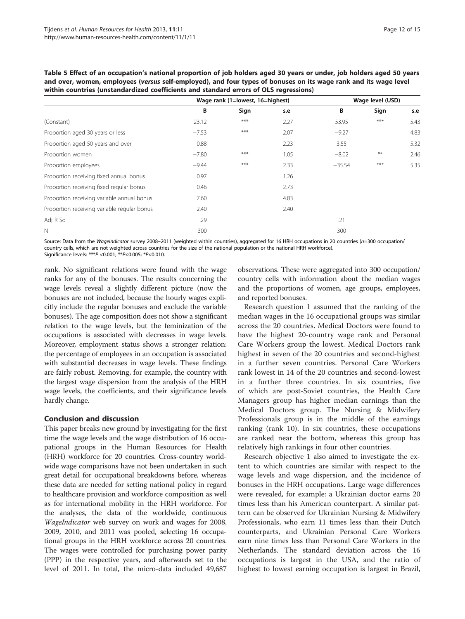|                                             |         | Wage rank (1=lowest, 16=highest) | Wage level (USD) |          |       |      |
|---------------------------------------------|---------|----------------------------------|------------------|----------|-------|------|
|                                             | B       | Sign                             | s.e              | B        | Sign  | s.e  |
| (Constant)                                  | 23.12   | $***$                            | 2.27             | 53.95    | $***$ | 5.43 |
| Proportion aged 30 years or less            | $-7.53$ | $***$                            | 2.07             | $-9.27$  |       | 4.83 |
| Proportion aged 50 years and over           | 0.88    |                                  | 2.23             | 3.55     |       | 5.32 |
| Proportion women                            | $-7.80$ | $***$                            | 1.05             | $-8.02$  | $***$ | 2.46 |
| Proportion employees                        | $-9.44$ | $***$                            | 2.33             | $-35.54$ | $***$ | 5.35 |
| Proportion receiving fixed annual bonus     | 0.97    |                                  | 1.26             |          |       |      |
| Proportion receiving fixed regular bonus    | 0.46    |                                  | 2.73             |          |       |      |
| Proportion receiving variable annual bonus  | 7.60    |                                  | 4.83             |          |       |      |
| Proportion receiving variable regular bonus | 2.40    |                                  | 2.40             |          |       |      |
| Adj R Sq                                    | .29     |                                  |                  | .21      |       |      |
| $\mathbb N$                                 | 300     |                                  |                  | 300      |       |      |

<span id="page-12-0"></span>Table 5 Effect of an occupation's national proportion of job holders aged 30 years or under, job holders aged 50 years and over, women, employees (versus self-employed), and four types of bonuses on its wage rank and its wage level within countries (unstandardized coefficients and standard errors of OLS regressions)

Source: Data from the WageIndicator survey 2008-2011 (weighted within countries), aggregated for 16 HRH occupations in 20 countries (n=300 occupation/ country cells, which are not weighted across countries for the size of the national population or the national HRH workforce). Significance levels: \*\*\*P <0.001; \*\*P<0.005; \*P<0.010.

rank. No significant relations were found with the wage ranks for any of the bonuses. The results concerning the wage levels reveal a slightly different picture (now the bonuses are not included, because the hourly wages explicitly include the regular bonuses and exclude the variable bonuses). The age composition does not show a significant relation to the wage levels, but the feminization of the occupations is associated with decreases in wage levels. Moreover, employment status shows a stronger relation: the percentage of employees in an occupation is associated with substantial decreases in wage levels. These findings are fairly robust. Removing, for example, the country with the largest wage dispersion from the analysis of the HRH wage levels, the coefficients, and their significance levels hardly change.

#### Conclusion and discussion

This paper breaks new ground by investigating for the first time the wage levels and the wage distribution of 16 occupational groups in the Human Resources for Health (HRH) workforce for 20 countries. Cross-country worldwide wage comparisons have not been undertaken in such great detail for occupational breakdowns before, whereas these data are needed for setting national policy in regard to healthcare provision and workforce composition as well as for international mobility in the HRH workforce. For the analyses, the data of the worldwide, continuous WageIndicator web survey on work and wages for 2008, 2009, 2010, and 2011 was pooled, selecting 16 occupational groups in the HRH workforce across 20 countries. The wages were controlled for purchasing power parity (PPP) in the respective years, and afterwards set to the level of 2011. In total, the micro-data included 49,687

observations. These were aggregated into 300 occupation/ country cells with information about the median wages and the proportions of women, age groups, employees, and reported bonuses.

Research question 1 assumed that the ranking of the median wages in the 16 occupational groups was similar across the 20 countries. Medical Doctors were found to have the highest 20-country wage rank and Personal Care Workers group the lowest. Medical Doctors rank highest in seven of the 20 countries and second-highest in a further seven countries. Personal Care Workers rank lowest in 14 of the 20 countries and second-lowest in a further three countries. In six countries, five of which are post-Soviet countries, the Health Care Managers group has higher median earnings than the Medical Doctors group. The Nursing & Midwifery Professionals group is in the middle of the earnings ranking (rank 10). In six countries, these occupations are ranked near the bottom, whereas this group has relatively high rankings in four other countries.

Research objective 1 also aimed to investigate the extent to which countries are similar with respect to the wage levels and wage dispersion, and the incidence of bonuses in the HRH occupations. Large wage differences were revealed, for example: a Ukrainian doctor earns 20 times less than his American counterpart. A similar pattern can be observed for Ukrainian Nursing & Midwifery Professionals, who earn 11 times less than their Dutch counterparts, and Ukrainian Personal Care Workers earn nine times less than Personal Care Workers in the Netherlands. The standard deviation across the 16 occupations is largest in the USA, and the ratio of highest to lowest earning occupation is largest in Brazil,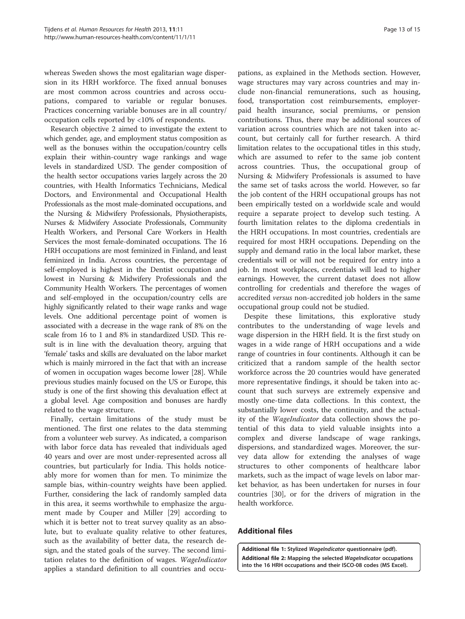<span id="page-13-0"></span>whereas Sweden shows the most egalitarian wage dispersion in its HRH workforce. The fixed annual bonuses are most common across countries and across occupations, compared to variable or regular bonuses. Practices concerning variable bonuses are in all country/ occupation cells reported by <10% of respondents.

Research objective 2 aimed to investigate the extent to which gender, age, and employment status composition as well as the bonuses within the occupation/country cells explain their within-country wage rankings and wage levels in standardized USD. The gender composition of the health sector occupations varies largely across the 20 countries, with Health Informatics Technicians, Medical Doctors, and Environmental and Occupational Health Professionals as the most male-dominated occupations, and the Nursing & Midwifery Professionals, Physiotherapists, Nurses & Midwifery Associate Professionals, Community Health Workers, and Personal Care Workers in Health Services the most female-dominated occupations. The 16 HRH occupations are most feminized in Finland, and least feminized in India. Across countries, the percentage of self-employed is highest in the Dentist occupation and lowest in Nursing & Midwifery Professionals and the Community Health Workers. The percentages of women and self-employed in the occupation/country cells are highly significantly related to their wage ranks and wage levels. One additional percentage point of women is associated with a decrease in the wage rank of 8% on the scale from 16 to 1 and 8% in standardized USD. This result is in line with the devaluation theory, arguing that 'female' tasks and skills are devaluated on the labor market which is mainly mirrored in the fact that with an increase of women in occupation wages become lower [\[28\]](#page-15-0). While previous studies mainly focused on the US or Europe, this study is one of the first showing this devaluation effect at a global level. Age composition and bonuses are hardly related to the wage structure.

Finally, certain limitations of the study must be mentioned. The first one relates to the data stemming from a volunteer web survey. As indicated, a comparison with labor force data has revealed that individuals aged 40 years and over are most under-represented across all countries, but particularly for India. This holds noticeably more for women than for men. To minimize the sample bias, within-country weights have been applied. Further, considering the lack of randomly sampled data in this area, it seems worthwhile to emphasize the argument made by Couper and Miller [[29\]](#page-15-0) according to which it is better not to treat survey quality as an absolute, but to evaluate quality relative to other features, such as the availability of better data, the research design, and the stated goals of the survey. The second limitation relates to the definition of wages. WageIndicator applies a standard definition to all countries and occu-

pations, as explained in the Methods section. However, wage structures may vary across countries and may include non-financial remunerations, such as housing, food, transportation cost reimbursements, employerpaid health insurance, social premiums, or pension contributions. Thus, there may be additional sources of variation across countries which are not taken into account, but certainly call for further research. A third limitation relates to the occupational titles in this study, which are assumed to refer to the same job content across countries. Thus, the occupational group of Nursing & Midwifery Professionals is assumed to have the same set of tasks across the world. However, so far the job content of the HRH occupational groups has not been empirically tested on a worldwide scale and would require a separate project to develop such testing. A fourth limitation relates to the diploma credentials in the HRH occupations. In most countries, credentials are required for most HRH occupations. Depending on the supply and demand ratio in the local labor market, these credentials will or will not be required for entry into a job. In most workplaces, credentials will lead to higher earnings. However, the current dataset does not allow controlling for credentials and therefore the wages of accredited versus non-accredited job holders in the same occupational group could not be studied.

Despite these limitations, this explorative study contributes to the understanding of wage levels and wage dispersion in the HRH field. It is the first study on wages in a wide range of HRH occupations and a wide range of countries in four continents. Although it can be criticized that a random sample of the health sector workforce across the 20 countries would have generated more representative findings, it should be taken into account that such surveys are extremely expensive and mostly one-time data collections. In this context, the substantially lower costs, the continuity, and the actuality of the WageIndicator data collection shows the potential of this data to yield valuable insights into a complex and diverse landscape of wage rankings, dispersions, and standardized wages. Moreover, the survey data allow for extending the analyses of wage structures to other components of healthcare labor markets, such as the impact of wage levels on labor market behavior, as has been undertaken for nurses in four countries [\[30\]](#page-15-0), or for the drivers of migration in the health workforce.

#### Additional files

[Additional file 1:](http://www.biomedcentral.com/content/supplementary/1478-4491-11-11-S1.pdf) Stylized WageIndicator questionnaire (pdf). [Additional file 2:](http://www.biomedcentral.com/content/supplementary/1478-4491-11-11-S2.xlsx) Mapping the selected WageIndicator occupations into the 16 HRH occupations and their ISCO-08 codes (MS Excel).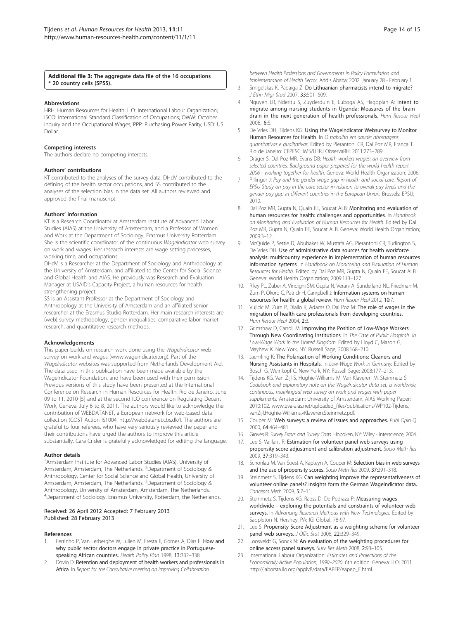#### <span id="page-14-0"></span>[Additional file 3:](http://www.biomedcentral.com/content/supplementary/1478-4491-11-11-S3.sav) The aggregate data file of the 16 occupations \* 20 country cells (SPSS).

#### Abbreviations

HRH: Human Resources for Health; ILO: International Labour Organization; ISCO: International Standard Classification of Occupations; OWW: October Inquiry and the Occupational Wages; PPP: Purchasing Power Parity; USD: US Dollar.

#### Competing interests

The authors declare no competing interests.

#### Authors' contributions

KT contributed to the analyses of the survey data, DHdV contributed to the defining of the health sector occupations, and SS contributed to the analyses of the selection bias in the data set. All authors reviewed and approved the final manuscript.

#### Authors' information

KT is a Research Coordinator at Amsterdam Institute of Advanced Labor Studies (AIAS) at the University of Amsterdam, and a Professor of Women and Work at the Department of Sociology, Erasmus University Rotterdam. She is the scientific coordinator of the continuous WageIndicator web survey on work and wages. Her research interests are wage setting processes, working time, and occupations.

DHdV is a Researcher at the Department of Sociology and Anthropology at the University of Amsterdam, and affiliated to the Center for Social Science and Global Health and AIAS. He previously was Research and Evaluation Manager at USAID's Capacity Project, a human resources for health strengthening project.

SS is an Assistant Professor at the Department of Sociology and Anthropology at the University of Amsterdam and an affiliated senior researcher at the Erasmus Studio Rotterdam. Her main research interests are (web) survey methodology, gender inequalities, comparative labor market research, and quantitative research methods.

#### Acknowledgements

This paper builds on research work done using the WageIndicator web survey on work and wages [\(www.wageindicator.org\)](http://www.wageindicator.org). Part of the WageIndicator websites was supported from Netherlands Development Aid. The data used in this publication have been made available by the WageIndicator Foundation, and have been used with their permission. Previous versions of this study have been presented at the International Conference on Research in Human Resources for Health, Rio de Janeiro, June 09 to 11, 2010 [5] and at the second ILO conference on Regulating Decent Work, Geneva, July 6 to 8, 2011. The authors would like to acknowledge the contribution of WEBDATANET, a European network for web-based data collection (COST Action IS1004,<http://webdatanet.cbs.dk/>). The authors are grateful to four referees, who have very seriously reviewed the paper and their contributions have urged the authors to improve this article substantially. Cara Crisler is gratefully acknowledged for editing the language.

#### Author details

<sup>1</sup> Amsterdam Institute for Advanced Labor Studies (AIAS), University of Amsterdam, Amsterdam, The Netherlands. <sup>2</sup>Department of Sociology & Anthropology, Center for Social Science and Global Health, University of Amsterdam, Amsterdam, The Netherlands. <sup>3</sup>Department of Sociology & Anthropology, University of Amsterdam, Amsterdam, The Netherlands. 4 Department of Sociology, Erasmus University, Rotterdam, the Netherlands.

#### Received: 26 April 2012 Accepted: 7 February 2013 Published: 28 February 2013

#### References

- 1. Ferrinho P, Van Lerberghe W, Julien M, Fresta E, Gomes A, Dias F: How and why public sector doctors engage in private practice in Portuguesespeaking African countries. Health Policy Plan 1998, 13:332–338.
- 2. Dovlo D: Retention and deployment of health workers and professionals in Africa. In Report for the Consultative meeting on Improving Collaboration

between Health Professions and Governments in Policy Formulation and Implementation of Health Sector. Addis Ababa: 2002. January 28 - February 1.

- 3. Smigelskas K, Padaiga Z: Do Lithuanian pharmacists intend to migrate? J Ethn Migr Stud 2007, 33:501–509.
- 4. Nguyen LR, Nderitu S, Zuyderduin E, Luboga AS, Hagopian A: Intent to migrate among nursing students in Uganda: Measures of the brain drain in the next generation of health professionals. Hum Resour Heal 2008, 6:5.
- 5. De Vries DH, Tijdens KG: Using the Wageindicator Websurvey to Monitor Human Resources for Health. In O trabalho em saude: abordagens quantitativas e qualitativas. Edited by Pierantoni CR, Dal Poz MR, França T. Rio de Janeiro: CEPESC: IMS/UERJ ObservaRH; 2011:273–289.
- 6. Dräger S, Dal Poz MR, Evans DB: Health workers wages: an overview from selected countries. Background paper prepared for the world health report 2006 - working together for health. Geneva: World Health Organization; 2006.
- 7. Pillinger J: Pay and the gender wage gap in health and social care. Report of EPSU Study on pay in the care sector in relation to overall pay levels and the gender pay gap in different countries in the European Union. Brussels: EPSU; 2010.
- 8. Dal Poz MR, Gupta N, Quain EE, Soucat ALB: Monitoring and evaluation of human resources for health: challenges and opportunities. In Handbook on Monitoring and Evaluation of Human Resources for Health. Edited by Dal Poz MR, Gupta N, Quain EE, Soucat ALB. Geneva: World Health Organization; 2009:3–12.
- 9. McQuide P, Settle D, Abubaker W, Mustafa AG, Pierantoni CR, Turlington S, De Vries DH: Use of administrative data sources for health workforce analysis: multicountry experience in implementation of human resources information systems. In Handbook on Monitoring and Evaluation of Human Resources for Health. Edited by Dal Poz MR, Gupta N, Quain EE, Soucat ALB. Geneva: World Health Organization; 2009:113–127.
- 10. Riley PL, Zuber A, Vindigni SM, Gupta N, Verani A, Sunderland NL, Friedman M, Zurn P, Okoro C, Patrick H, Campbell J: Information systems on human resources for health: a global review. Hum Resour Heal 2012, 10:7.
- 11. Vujicic M, Zurn P, Diallo K, Adams O, Dal Poz M: The role of wages in the migration of health care professionals from developing countries. Hum Resour Heal 2004, 2:3.
- 12. Grimshaw D, Carroll M: Improving the Position of Low-Wage Workers Through New Coordinating Institutions. In The Case of Public Hospitals. In Low-Wage Work in the United Kingdom. Edited by Lloyd C, Mason G, Mayhew K. New York, NY: Russell Sage; 2008:168–210.
- 13. Jaehrling K: The Polarization of Working Conditions: Cleaners and Nursing Assistants in Hospitals. In Low-Wage Work in Germany. Edited by Bosch G, Weinkopf C. New York, NY: Russell Sage; 2008:177–213.
- 14. Tijdens KG, Van Zijl S, Hughie-Williams M, Van Klaveren M, Steinmetz S: Codebook and explanatory note on the WageIndicator data set, a worldwide, continuous, multilingual web survey on work and wages with paper supplements. Amsterdam: University of Amsterdam, AIAS Working Paper; 2010:102. [www.uva-aias.net/uploaded\\_files/publications/WP102-Tijdens,](http://www.uva-aias.net/uploaded_files/publications/WP102-Tijdens,vanZijl,Hughie-Williams,vKlaveren,Steinmetz.pdf) [vanZijl,Hughie-Williams,vKlaveren,Steinmetz.pdf.](http://www.uva-aias.net/uploaded_files/publications/WP102-Tijdens,vanZijl,Hughie-Williams,vKlaveren,Steinmetz.pdf)
- 15. Couper M: Web surveys: a review of issues and approaches. Publ Opin Q 2000, 64:464–481.
- 16. Groves R: Survey Errors and Survey Costs. Hoboken, NY: Wiley Interscience; 2004.
- 17. Lee S, Vaillant R: Estimation for volunteer panel web surveys using propensity score adjustment and calibration adjustment. Socio Meth Res 2009, 37:319–343.
- 18. Schonlau M, Van Soest A, Kapteyn A, Couper M: Selection bias in web surveys and the use of propensity scores. Socio Meth Res 2009, 37:291-318
- 19. Steinmetz S, Tijdens KG: Can weighting improve the representativeness of volunteer online panels? Insights form the German WageIndicator data. Concepts Meth 2009, 5:7–11.
- 20. Steinmetz S, Tijdens KG, Raess D, De Pedraza P: Measuring wages worldwide – exploring the potentials and constraints of volunteer web surveys. In Advancing Research Methods with New Technologies. Edited by Sappleton N. Hershey, PA: IGI Global. 78-97.
- 21. Lee S: Propensity Score Adjustment as a weighting scheme for volunteer panel web surveys. J Offic Stat 2006, 22:329-349.
- 22. Loosveldt G, Sonck N: An evaluation of the weighting procedures for online access panel surveys. Surv Res Meth 2008, 2:93–105.
- 23. International Labour Organization: Estimates and Projections of the Economically Active Population, 1990–2020. 6th edition. Geneva: ILO; 2011. [http://laborsta.ilo.org/applv8/data/EAPEP/eapep\\_E.html.](http://laborsta.ilo.org/applv8/data/EAPEP/eapep_E.html)